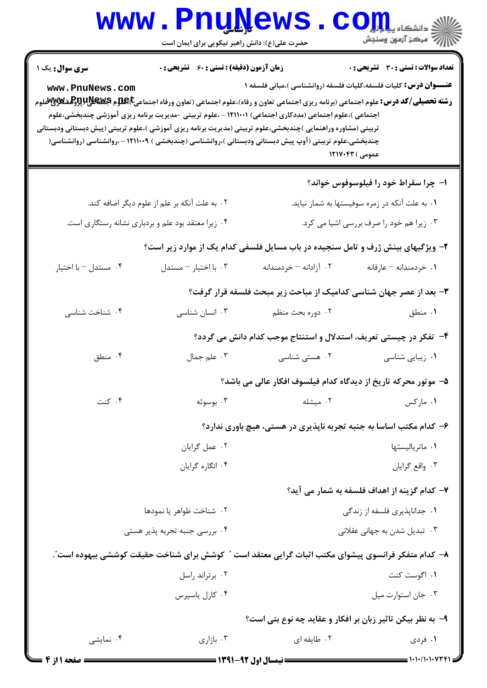|                                                                                                                                                                                                                                                                                                                                                                                                                                                                                                                                                                                                                                                                                                                                                           | <b>www.PnuNews</b><br>حضرت علی(ع): دانش راهبر نیکویی برای ایمان است |                                                                                                     | الله دانشکاه پیام <del>لول</del><br>الله مرکز آزمون وسنجش |  |  |  |
|-----------------------------------------------------------------------------------------------------------------------------------------------------------------------------------------------------------------------------------------------------------------------------------------------------------------------------------------------------------------------------------------------------------------------------------------------------------------------------------------------------------------------------------------------------------------------------------------------------------------------------------------------------------------------------------------------------------------------------------------------------------|---------------------------------------------------------------------|-----------------------------------------------------------------------------------------------------|-----------------------------------------------------------|--|--|--|
| <b>زمان آزمون (دقیقه) : تستی : 60 ٪ تشریحی : 0</b><br><b>تعداد سوالات : تستی : 30 ٪ تشریحی : 0</b><br><b>سری سوال :</b> یک ۱<br><b>عنـــوان درس:</b> کلیات فلسفه،کلیات فلسفه (روانشناسی )،مبانی فلسفه ۱<br>www.PnuNews.com<br><b>رشته تحصیلی/کد درس:</b> علوم اجتماعی (برنامه ریزی اجتماعی تعاون و رفاه)،علوم اجتماعی (تعاون ورفاه اجتماعی <b>E)£4 و Deباللاپروگرشگلاپای</b> لاپروگرهشگلاپایلاپوگر<br>اجتماعی )،علوم اجتماعی (مددکاری اجتماعی) ۱۲۱۱۰۰۱ - ،علوم تربیتی -مدیریت برنامه ریزی آموزشی چندبخشی،علوم<br>تربیتی (مشاوره وراهنمایی )چندبخشی،علوم تربیتی (مدیریت برنامه ریزی آموزشی )،علوم تربیتی (پیش دبستانی ودبستانی<br>چندبخشی،علوم تربیتی (آوپ پیش دبستانی ودبستانی )،روانشناسی (چندبخشی ) ۱۲۱۱۰۰۹ - ،روانشناسی (روانشناسی(<br>عمومی ) ۱۲۱۷۰۴۳ |                                                                     |                                                                                                     |                                                           |  |  |  |
|                                                                                                                                                                                                                                                                                                                                                                                                                                                                                                                                                                                                                                                                                                                                                           |                                                                     |                                                                                                     | ۱– چرا سقراط خود را فیلوسوفوس خواند؟                      |  |  |  |
|                                                                                                                                                                                                                                                                                                                                                                                                                                                                                                                                                                                                                                                                                                                                                           | ۰۲ به علت آنکه بر علم از علوم دیگر اضافه کند.                       | ۰۱ به علت آنکه در زمره سوفیستها به شمار نیاید.                                                      |                                                           |  |  |  |
| ۰۴ زیرا معتقد بود علم و بردباری نشانه رستگاری است.                                                                                                                                                                                                                                                                                                                                                                                                                                                                                                                                                                                                                                                                                                        |                                                                     | ۰۳ زیرا هم خود را صرف بررسی اشیا می کرد.                                                            |                                                           |  |  |  |
|                                                                                                                                                                                                                                                                                                                                                                                                                                                                                                                                                                                                                                                                                                                                                           |                                                                     | ۲- ویژگیهای بینش ژرف و تامل سنجیده در باب مسایل فلسفی کدام یک از موارد زیر است؟                     |                                                           |  |  |  |
| ۰۴ مستدل - با اختیار                                                                                                                                                                                                                                                                                                                                                                                                                                                                                                                                                                                                                                                                                                                                      | ۰۳ با اختيار - مستدل                                                | ۰۲ آزادانه – خردمندانه                                                                              | ۰۱ خردمندانه – عارفانه                                    |  |  |  |
|                                                                                                                                                                                                                                                                                                                                                                                                                                                                                                                                                                                                                                                                                                                                                           |                                                                     | ۳- بعد از عصر جهان شناسی کدامیک از مباحث زیر مبحث فلسفه قرار گرفت؟                                  |                                                           |  |  |  |
| ۰۴ شناخت شناسی                                                                                                                                                                                                                                                                                                                                                                                                                                                                                                                                                                                                                                                                                                                                            | ۰۳ انسان شناسی                                                      | ۰۲ دوره بحث منظم                                                                                    | ۰۱ منطق                                                   |  |  |  |
|                                                                                                                                                                                                                                                                                                                                                                                                                                                                                                                                                                                                                                                                                                                                                           |                                                                     | ۴- تفکر در چیستی تعریف، استدلال و استنتاج موجب کدام دانش می گردد؟                                   |                                                           |  |  |  |
| ۰۴ منطق                                                                                                                                                                                                                                                                                                                                                                                                                                                                                                                                                                                                                                                                                                                                                   | ۰۳ علم جمال                                                         | ۰۲ هستی شناسی                                                                                       | ۰۱ زیبایی شناسی                                           |  |  |  |
|                                                                                                                                                                                                                                                                                                                                                                                                                                                                                                                                                                                                                                                                                                                                                           |                                                                     | ۵– موتور محرکه تاریخ از دیدگاه کدام فیلسوف افکار عالی می باشد؟                                      |                                                           |  |  |  |
| ۰۴ کنت                                                                                                                                                                                                                                                                                                                                                                                                                                                                                                                                                                                                                                                                                                                                                    | ۰۳ بوسوثه                                                           | ۰۲ میشله                                                                                            | ۰۱ مارکس                                                  |  |  |  |
|                                                                                                                                                                                                                                                                                                                                                                                                                                                                                                                                                                                                                                                                                                                                                           |                                                                     | ۶- کدام مکتب اساسا به جنبه تجربه ناپذیری در هستی، هیچ باوری ندارد؟                                  |                                                           |  |  |  |
|                                                                                                                                                                                                                                                                                                                                                                                                                                                                                                                                                                                                                                                                                                                                                           | ۰۲ عمل گرایان                                                       |                                                                                                     | ۰۱ ماترياليستها                                           |  |  |  |
|                                                                                                                                                                                                                                                                                                                                                                                                                                                                                                                                                                                                                                                                                                                                                           | ۰۴ انگاره گرایان                                                    |                                                                                                     | ۰۳ واقع گرايان                                            |  |  |  |
|                                                                                                                                                                                                                                                                                                                                                                                                                                                                                                                                                                                                                                                                                                                                                           |                                                                     |                                                                                                     | ۷– کدام گزینه از اهداف فلسفه به شمار می آید؟              |  |  |  |
| ٢. شناخت ظواهر يا نمودها                                                                                                                                                                                                                                                                                                                                                                                                                                                                                                                                                                                                                                                                                                                                  |                                                                     | ۰۱ جداناپذیری فلسفه از زندگی                                                                        |                                                           |  |  |  |
| ۰۴ بررسی جنبه تجربه پذیر هستی                                                                                                                                                                                                                                                                                                                                                                                                                                                                                                                                                                                                                                                                                                                             |                                                                     | ۰۳ تبدیل شدن به جهانی عقلانی                                                                        |                                                           |  |  |  |
|                                                                                                                                                                                                                                                                                                                                                                                                                                                                                                                                                                                                                                                                                                                                                           |                                                                     | ۸–  کدام متفکر فرانسوی پیشوای مکتب اثبات گرایی معتقد است ″ کوشش برای شناخت حقیقت کوششی بیهوده است″. |                                                           |  |  |  |
| ۰۲ برتراند راسل                                                                                                                                                                                                                                                                                                                                                                                                                                                                                                                                                                                                                                                                                                                                           |                                                                     | ۰۱ اگوست کنت                                                                                        |                                                           |  |  |  |
|                                                                                                                                                                                                                                                                                                                                                                                                                                                                                                                                                                                                                                                                                                                                                           | ۰۴ کارل ياسپرس                                                      |                                                                                                     | ۰۳ جان استوارت ميل                                        |  |  |  |
| ۹- به نظر بیکن تاثیر زبان بر افکار و عقاید چه نوع بتی است؟                                                                                                                                                                                                                                                                                                                                                                                                                                                                                                                                                                                                                                                                                                |                                                                     |                                                                                                     |                                                           |  |  |  |
| ۰۴ نمایشی                                                                                                                                                                                                                                                                                                                                                                                                                                                                                                                                                                                                                                                                                                                                                 | ۰۳ بازاری                                                           | ۰۲ طایفه ای                                                                                         | ۰۱ فردی                                                   |  |  |  |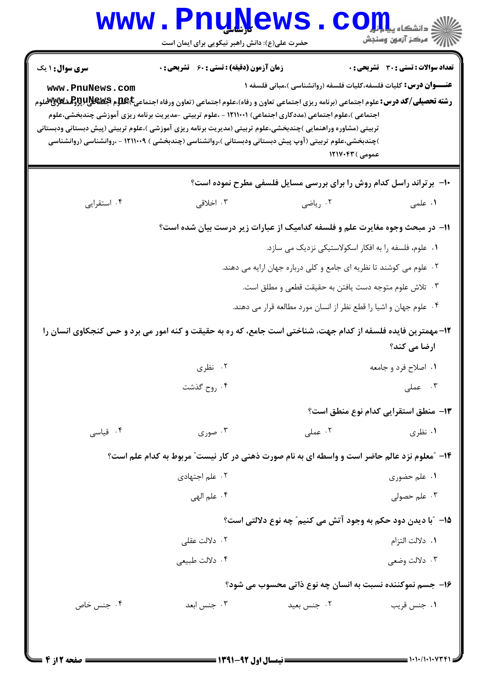|                                           | <b>www.Pnunews</b><br>حضرت علی(ع): دانش راهبر نیکویی برای ایمان است                                                                                                                                                                                                                                                                                                                                                                                                                                                                            |                                                                                            | C Oill الشكاه يا<br>أأأأمركز آزمون وسنجش     |  |  |
|-------------------------------------------|------------------------------------------------------------------------------------------------------------------------------------------------------------------------------------------------------------------------------------------------------------------------------------------------------------------------------------------------------------------------------------------------------------------------------------------------------------------------------------------------------------------------------------------------|--------------------------------------------------------------------------------------------|----------------------------------------------|--|--|
| <b>سری سوال : ۱ یک</b><br>www.PnuNews.com | زمان آزمون (دقیقه) : تستی : 60 ٪ تشریحی : 0<br><b>رشته تحصیلی/کد درس:</b> علوم اجتماعی (برنامه ریزی اجتماعی تعاون و رفاه)،علوم اجتماعی (تعاون ورفاه اجتماعی <b>E)Eپلاپیلاپراولگشگلاپلاپراولگ</b> شگلاپی چو<br>اجتماعی )،علوم اجتماعی (مددکاری اجتماعی) ۱۲۱۱۰۰۱ - ،علوم تربیتی -مدیریت برنامه ریزی آموزشی چندبخشی،علوم<br>تربیتی (مشاوره وراهنمایی )چندبخشی،علوم تربیتی (مدیریت برنامه ریزی آموزشی )،علوم تربیتی (پیش دبستانی ودبستانی<br>)چندبخشی،علوم تربیتی (آوپ پیش دبستانی ودبستانی )،روانشناسی (چندبخشی ) ۱۲۱۱۰۰۹ - ،روانشناسی (روانشناسی | <b>عنـــوان درس:</b> کلیات فلسفه،کلیات فلسفه (روانشناسی )،مبانی فلسفه ۱<br>عمومی ) ۱۲۱۷۰۴۳ | <b>تعداد سوالات : تستی : 30 ٪ تشریحی : 0</b> |  |  |
|                                           |                                                                                                                                                                                                                                                                                                                                                                                                                                                                                                                                                | ۱۰- برتراند راسل کدام روش را برای بررسی مسایل فلسفی مطرح نموده است؟                        |                                              |  |  |
| ۰۴ استقرایی                               | ۰۳ اخلاق <sub>ی</sub>                                                                                                                                                                                                                                                                                                                                                                                                                                                                                                                          | ۰۲ رياضي                                                                                   | ۰۱ علمی                                      |  |  |
|                                           | 1۱– در مبحث وجوه مغایرت علم و فلسفه کدامیک از عبارات زیر درست بیان شده است؟                                                                                                                                                                                                                                                                                                                                                                                                                                                                    |                                                                                            |                                              |  |  |
|                                           |                                                                                                                                                                                                                                                                                                                                                                                                                                                                                                                                                | ۰۱ علوم، فلسفه را به افکار اسکولاستیکی نزدیک می سازد.                                      |                                              |  |  |
|                                           |                                                                                                                                                                                                                                                                                                                                                                                                                                                                                                                                                | ۰۲ علوم می کوشند تا نظریه ای جامع و کلی درباره جهان ارایه می دهند.                         |                                              |  |  |
|                                           |                                                                                                                                                                                                                                                                                                                                                                                                                                                                                                                                                | ۰۳ تلاش علوم متوجه دست يافتن به حقيقت قطعي و مطلق است.                                     |                                              |  |  |
|                                           |                                                                                                                                                                                                                                                                                                                                                                                                                                                                                                                                                | ۰۴ علوم جهان و اشیا را قطع نظر از انسان مورد مطالعه قرار می دهند.                          |                                              |  |  |
|                                           | ۱۲- مهمترین فایده فلسفه از کدام جهت، شناختی است جامع، که ره به حقیقت و کنه امور می برد و حس کنجکاوی انسان را                                                                                                                                                                                                                                                                                                                                                                                                                                   |                                                                                            | ارضا می کند؟                                 |  |  |
|                                           | ۰۲ نظری                                                                                                                                                                                                                                                                                                                                                                                                                                                                                                                                        |                                                                                            | ۰۱ اصلاح فرد و جامعه                         |  |  |
|                                           | ۰۴ روح گذشت                                                                                                                                                                                                                                                                                                                                                                                                                                                                                                                                    |                                                                                            | ۰۳ عملی $\mathfrak{g}$                       |  |  |
|                                           |                                                                                                                                                                                                                                                                                                                                                                                                                                                                                                                                                |                                                                                            | 13- منطق استقرايي كدام نوع منطق است؟         |  |  |
| ۰۴ قیاسی                                  | ۰۳ صوری                                                                                                                                                                                                                                                                                                                                                                                                                                                                                                                                        | ۰۲ عملی                                                                                    | ۰۱ نظری                                      |  |  |
|                                           | ۱۴- "معلوم نزد عالم حاضر است و واسطه ای به نام صورت ذهنی در کار نیست" مربوط به کدام علم است؟                                                                                                                                                                                                                                                                                                                                                                                                                                                   |                                                                                            |                                              |  |  |
|                                           | ۰۲ علم اجتهادی                                                                                                                                                                                                                                                                                                                                                                                                                                                                                                                                 |                                                                                            | ۰۱ علم حضوري                                 |  |  |
|                                           | ۴. علم الهي                                                                                                                                                                                                                                                                                                                                                                                                                                                                                                                                    |                                                                                            | ۰۳ علم حصولی                                 |  |  |
|                                           |                                                                                                                                                                                                                                                                                                                                                                                                                                                                                                                                                | 1۵- ″با دیدن دود حکم به وجود آتش می کنیم″ چه نوع دلالتی است؟                               |                                              |  |  |
|                                           | ۰۲ دلالت عقلی                                                                                                                                                                                                                                                                                                                                                                                                                                                                                                                                  |                                                                                            | ٠١. دلالت التزام                             |  |  |
|                                           | ۰۴ دلالت طبیعی                                                                                                                                                                                                                                                                                                                                                                                                                                                                                                                                 |                                                                                            | ۰۳ دلالت وضعي                                |  |  |
|                                           |                                                                                                                                                                                                                                                                                                                                                                                                                                                                                                                                                | ۱۶- جسم نموکننده نسبت به انسان چه نوع ذاتی محسوب می شود؟                                   |                                              |  |  |
| ۰۴ جنس خاص                                | ۰۳ جنس ابعد                                                                                                                                                                                                                                                                                                                                                                                                                                                                                                                                    | ۰۲ جنس بعيد                                                                                | ۰۱ جنس قريب                                  |  |  |
|                                           |                                                                                                                                                                                                                                                                                                                                                                                                                                                                                                                                                |                                                                                            |                                              |  |  |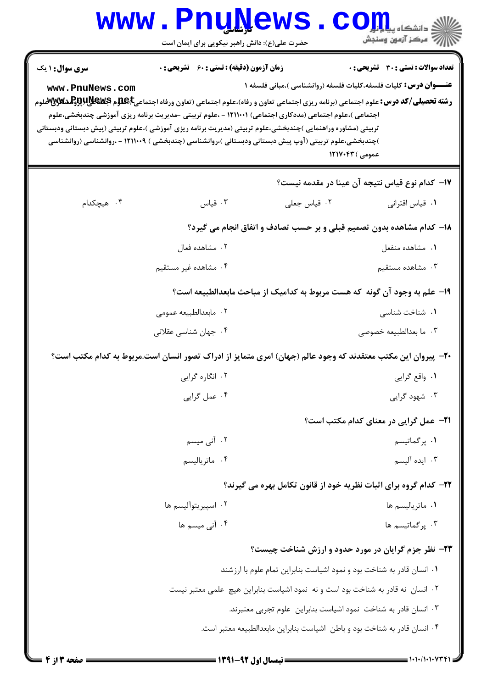|                                                                                                                                                                                                       | <b>www.Pnunews</b><br>حضرت علی(ع): دانش راهبر نیکویی برای ایمان است                                                                                                                                              |                                                                                 | اللاءِ دانشڪاء پي <b>ا ۽ پارٽن</b><br>الل <sup>اءِ</sup> مرڪز آزمون وسنڊش                                               |
|-------------------------------------------------------------------------------------------------------------------------------------------------------------------------------------------------------|------------------------------------------------------------------------------------------------------------------------------------------------------------------------------------------------------------------|---------------------------------------------------------------------------------|-------------------------------------------------------------------------------------------------------------------------|
| <b>سری سوال : ۱ یک</b><br>www.PnuNews.com<br><b>رشته تحصیلی/کد درس:</b> علوم اجتماعی (برنامه ریزی اجتماعی تعاون و رفاه)،علوم اجتماعی (تعاون ورفاه اجتماعی <b>E)Eپلاپیداپلاپوتوپیشگلاپاپوتوپی</b><br>. | <b>زمان آزمون (دقیقه) : تستی : 60 ٪ تشریحی : 0</b>                                                                                                                                                               |                                                                                 | <b>تعداد سوالات : تستي : 30 ٪ تشريحي : 0</b><br><b>عنـــوان درس:</b> کلیات فلسفه،کلیات فلسفه (روانشناسی )،مبانی فلسفه ۱ |
| تربیتی (مشاوره وراهنمایی )چندبخشی،علوم تربیتی (مدیریت برنامه ریزی آموزشی )،علوم تربیتی (پیش دبستانی ودبستانی                                                                                          | اجتماعی )،علوم اجتماعی (مددکاری اجتماعی) ۱۲۱۱۰۰۱ - ،علوم تربیتی -مدیریت برنامه ریزی آموزشی چندبخشی،علوم<br>)چندبخشی،علوم تربیتی (آوپ پیش دبستانی ودبستانی )،روانشناسی (چندبخشی ) ۱۲۱۱۰۰۹ - ،روانشناسی (روانشناسی |                                                                                 | عمومی ) ۱۲۱۷۰۴۳                                                                                                         |
|                                                                                                                                                                                                       |                                                                                                                                                                                                                  |                                                                                 | ۱۷–  کدام نوع قیاس نتیجه آن عینا در مقدمه نیست؟                                                                         |
| ۰۴ هیچکدام                                                                                                                                                                                            | ۰۳ قیاس                                                                                                                                                                                                          | ٠٢ قياس جعلى                                                                    | ٠١ قياس اقتراني                                                                                                         |
|                                                                                                                                                                                                       |                                                                                                                                                                                                                  |                                                                                 | 18- کدام مشاهده بدون تصمیم قبلی و بر حسب تصادف و اتفاق انجام می گیرد؟                                                   |
|                                                                                                                                                                                                       | ۰۲ مشاهده فعال                                                                                                                                                                                                   |                                                                                 | ٠١. مشاهده منفعل                                                                                                        |
|                                                                                                                                                                                                       | ۰۴ مشاهده غیر مستقیم                                                                                                                                                                                             |                                                                                 | ۰۳ مشاهده مستقیم                                                                                                        |
|                                                                                                                                                                                                       |                                                                                                                                                                                                                  |                                                                                 | ۱۹- علم به وجود آن گونه که هست مربوط به کدامیک از مباحث مابعدالطبیعه است؟                                               |
|                                                                                                                                                                                                       | ۰۲ مابعدالطبیعه عمومی                                                                                                                                                                                            |                                                                                 | ۰۱ شناخت شناسی                                                                                                          |
|                                                                                                                                                                                                       | ۰۴ جهان شناسی عقلانی                                                                                                                                                                                             |                                                                                 | ۰۳ ما بعدالطبيعه خصوصي                                                                                                  |
|                                                                                                                                                                                                       | +۲- پیروان این مکتب معتقدند که وجود عالم (جهان) امری متمایز از ادراک تصور انسان است.مربوط به کدام مکتب است؟                                                                                                      |                                                                                 |                                                                                                                         |
|                                                                                                                                                                                                       | ۰۲ انگاره گرایی                                                                                                                                                                                                  |                                                                                 | ۰۱ واقع گرايي                                                                                                           |
|                                                                                                                                                                                                       | ۰۴ عمل گرایی                                                                                                                                                                                                     |                                                                                 | ۰۳ شهود گرایی                                                                                                           |
|                                                                                                                                                                                                       |                                                                                                                                                                                                                  |                                                                                 | <b>۲۱</b> - عمل گرایی در معنای کدام مکتب است؟                                                                           |
|                                                                                                                                                                                                       | ۲. آنی میسم                                                                                                                                                                                                      |                                                                                 | ۰۱ پرگماتیسم                                                                                                            |
|                                                                                                                                                                                                       | ۰۴ ماترياليسم                                                                                                                                                                                                    |                                                                                 | ۰۳ ایده آلیسم                                                                                                           |
|                                                                                                                                                                                                       |                                                                                                                                                                                                                  |                                                                                 | <b>۲۲- کدام گروه برای اثبات نظریه خود از قانون تکامل بهره می گیرند؟</b>                                                 |
|                                                                                                                                                                                                       | ۰۲ اسپیریتوآلیسم ها                                                                                                                                                                                              |                                                                                 | ۰۱ ماتریالیسم ها                                                                                                        |
|                                                                                                                                                                                                       | ۰۴ آنی میسم ها                                                                                                                                                                                                   |                                                                                 | ۰۳. پر گماتیسم ها                                                                                                       |
|                                                                                                                                                                                                       |                                                                                                                                                                                                                  |                                                                                 | ۲۳- نظر جزم گرایان در مورد حدود و ارزش شناخت چیست؟                                                                      |
|                                                                                                                                                                                                       |                                                                                                                                                                                                                  | ۰۱ انسان قادر به شناخت بود و نمود اشیاست بنابراین تمام علوم با ارزشند           |                                                                                                                         |
|                                                                                                                                                                                                       |                                                                                                                                                                                                                  | ۰۲ انسان نه قادر به شناخت بود است و نه نمود اشیاست بنابراین هیچ علمی معتبر نیست |                                                                                                                         |
|                                                                                                                                                                                                       |                                                                                                                                                                                                                  | ۰۳ انسان قادر به شناخت نمود اشیاست بنابراین علوم تجربی معتبرند.                 |                                                                                                                         |
|                                                                                                                                                                                                       |                                                                                                                                                                                                                  | ۰۴ انسان قادر به شناخت بود و باطن اشیاست بنابراین مابعدالطبیعه معتبر است.       |                                                                                                                         |